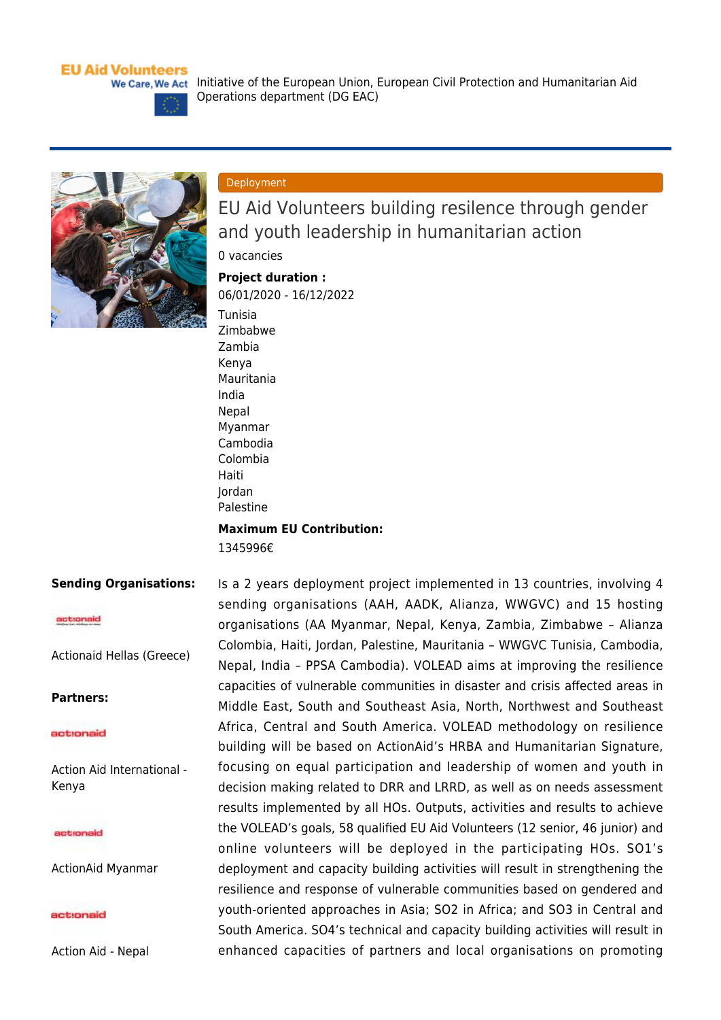### **EU Aid Volunteers**

We Care, We Act Initiative of the European Union, European Civil Protection and Humanitarian Aid





### Deployment

EU Aid Volunteers building resilence through gender and youth leadership in humanitarian action

0 vacancies

# **Project duration :**

06/01/2020 - 16/12/2022 [Tunisia](https://webgate.ec.europa.eu/echo/eu-aid-volunteers_en/regions/tunisia_en)

Operations department (DG EAC)

[Zimbabwe](https://webgate.ec.europa.eu/echo/eu-aid-volunteers_en/regions/zimbabwe_en) [Zambia](https://webgate.ec.europa.eu/echo/eu-aid-volunteers_en/regions/zambia_en) [Kenya](https://webgate.ec.europa.eu/echo/eu-aid-volunteers_en/regions/kenya_en) [Mauritania](https://webgate.ec.europa.eu/echo/eu-aid-volunteers_en/regions/mauritania_en) [India](https://webgate.ec.europa.eu/echo/eu-aid-volunteers_en/regions/india_en) **[Nepal](https://webgate.ec.europa.eu/echo/eu-aid-volunteers_en/regions/nepal_en)** [Myanmar](https://webgate.ec.europa.eu/echo/eu-aid-volunteers_en/regions/myanmar_en) [Cambodia](https://webgate.ec.europa.eu/echo/eu-aid-volunteers_en/regions/cambodia_en) [Colombia](https://webgate.ec.europa.eu/echo/eu-aid-volunteers_en/regions/colombia_en) [Haiti](https://webgate.ec.europa.eu/echo/eu-aid-volunteers_en/regions/haiti_en) [Jordan](https://webgate.ec.europa.eu/echo/eu-aid-volunteers_en/regions/jordan_en) [Palestine](https://webgate.ec.europa.eu/echo/eu-aid-volunteers_en/regions/palestine_en) **Maximum EU Contribution:** 

1345996€

### **Sending Organisations:**

#### actionaid

[Actionaid Hellas \(Greece\)](https://webgate.ec.europa.eu/echo/eu-aid-volunteers_en/actionaid-hellas-greece_en)

### **Partners:**

#### actionaid

[Action Aid International -](https://webgate.ec.europa.eu/echo/eu-aid-volunteers_en/action-aid-international-kenya_en) [Kenya](https://webgate.ec.europa.eu/echo/eu-aid-volunteers_en/action-aid-international-kenya_en)

#### actionaid

[ActionAid Myanmar](https://webgate.ec.europa.eu/echo/eu-aid-volunteers_en/actionaid-myanmar_en)

#### act:onaid

[Action Aid - Nepal](https://webgate.ec.europa.eu/echo/eu-aid-volunteers_en/action-aid-nepal_en)

Is a 2 years deployment project implemented in 13 countries, involving 4 sending organisations (AAH, AADK, Alianza, WWGVC) and 15 hosting organisations (AA Myanmar, Nepal, Kenya, Zambia, Zimbabwe – Alianza Colombia, Haiti, Jordan, Palestine, Mauritania – WWGVC Tunisia, Cambodia, Nepal, India – PPSA Cambodia). VOLEAD aims at improving the resilience capacities of vulnerable communities in disaster and crisis affected areas in Middle East, South and Southeast Asia, North, Northwest and Southeast Africa, Central and South America. VOLEAD methodology on resilience building will be based on ActionAid's HRBA and Humanitarian Signature, focusing on equal participation and leadership of women and youth in decision making related to DRR and LRRD, as well as on needs assessment results implemented by all HOs. Outputs, activities and results to achieve the VOLEAD's goals, 58 qualified EU Aid Volunteers (12 senior, 46 junior) and online volunteers will be deployed in the participating HOs. SO1's deployment and capacity building activities will result in strengthening the resilience and response of vulnerable communities based on gendered and youth-oriented approaches in Asia; SO2 in Africa; and SO3 in Central and South America. SO4's technical and capacity building activities will result in enhanced capacities of partners and local organisations on promoting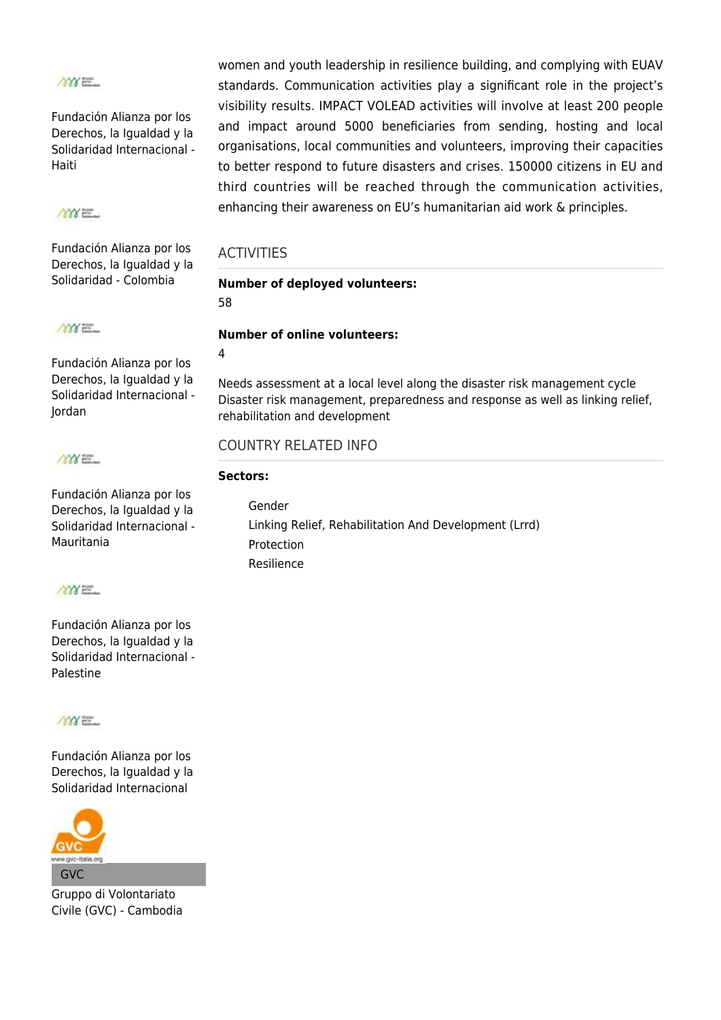

[Fundación Alianza por los](https://webgate.ec.europa.eu/echo/eu-aid-volunteers_en/fundaci%C3%B3n-alianza-por-los-derechos-la-igualdad-y-la-solidaridad-internacional-haiti_en) [Derechos, la Igualdad y la](https://webgate.ec.europa.eu/echo/eu-aid-volunteers_en/fundaci%C3%B3n-alianza-por-los-derechos-la-igualdad-y-la-solidaridad-internacional-haiti_en) [Solidaridad Internacional -](https://webgate.ec.europa.eu/echo/eu-aid-volunteers_en/fundaci%C3%B3n-alianza-por-los-derechos-la-igualdad-y-la-solidaridad-internacional-haiti_en) [Haiti](https://webgate.ec.europa.eu/echo/eu-aid-volunteers_en/fundaci%C3%B3n-alianza-por-los-derechos-la-igualdad-y-la-solidaridad-internacional-haiti_en)

# 1888 E.E.

[Fundación Alianza por los](https://webgate.ec.europa.eu/echo/eu-aid-volunteers_en/fundaci%C3%B3n-alianza-por-los-derechos-la-igualdad-y-la-solidaridad-colombia_en) [Derechos, la Igualdad y la](https://webgate.ec.europa.eu/echo/eu-aid-volunteers_en/fundaci%C3%B3n-alianza-por-los-derechos-la-igualdad-y-la-solidaridad-colombia_en) [Solidaridad - Colombia](https://webgate.ec.europa.eu/echo/eu-aid-volunteers_en/fundaci%C3%B3n-alianza-por-los-derechos-la-igualdad-y-la-solidaridad-colombia_en)

**MYXELL** 

[Fundación Alianza por los](https://webgate.ec.europa.eu/echo/eu-aid-volunteers_en/fundaci%C3%B3n-alianza-por-los-derechos-la-igualdad-y-la-solidaridad-internacional-jordan_en) [Derechos, la Igualdad y la](https://webgate.ec.europa.eu/echo/eu-aid-volunteers_en/fundaci%C3%B3n-alianza-por-los-derechos-la-igualdad-y-la-solidaridad-internacional-jordan_en) [Solidaridad Internacional -](https://webgate.ec.europa.eu/echo/eu-aid-volunteers_en/fundaci%C3%B3n-alianza-por-los-derechos-la-igualdad-y-la-solidaridad-internacional-jordan_en) [Jordan](https://webgate.ec.europa.eu/echo/eu-aid-volunteers_en/fundaci%C3%B3n-alianza-por-los-derechos-la-igualdad-y-la-solidaridad-internacional-jordan_en)



[Fundación Alianza por los](https://webgate.ec.europa.eu/echo/eu-aid-volunteers_en/fundaci%C3%B3n-alianza-por-los-derechos-la-igualdad-y-la-solidaridad-internacional-mauritania_en) [Derechos, la Igualdad y la](https://webgate.ec.europa.eu/echo/eu-aid-volunteers_en/fundaci%C3%B3n-alianza-por-los-derechos-la-igualdad-y-la-solidaridad-internacional-mauritania_en) [Solidaridad Internacional -](https://webgate.ec.europa.eu/echo/eu-aid-volunteers_en/fundaci%C3%B3n-alianza-por-los-derechos-la-igualdad-y-la-solidaridad-internacional-mauritania_en) [Mauritania](https://webgate.ec.europa.eu/echo/eu-aid-volunteers_en/fundaci%C3%B3n-alianza-por-los-derechos-la-igualdad-y-la-solidaridad-internacional-mauritania_en)



[Fundación Alianza por los](https://webgate.ec.europa.eu/echo/eu-aid-volunteers_en/fundaci%C3%B3n-alianza-por-los-derechos-la-igualdad-y-la-solidaridad-internacional-palestine_en) [Derechos, la Igualdad y la](https://webgate.ec.europa.eu/echo/eu-aid-volunteers_en/fundaci%C3%B3n-alianza-por-los-derechos-la-igualdad-y-la-solidaridad-internacional-palestine_en) [Solidaridad Internacional -](https://webgate.ec.europa.eu/echo/eu-aid-volunteers_en/fundaci%C3%B3n-alianza-por-los-derechos-la-igualdad-y-la-solidaridad-internacional-palestine_en) [Palestine](https://webgate.ec.europa.eu/echo/eu-aid-volunteers_en/fundaci%C3%B3n-alianza-por-los-derechos-la-igualdad-y-la-solidaridad-internacional-palestine_en)



[Fundación Alianza por los](https://webgate.ec.europa.eu/echo/eu-aid-volunteers_en/fundaci%C3%B3n-alianza-por-los-derechos-la-igualdad-y-la-solidaridad-internacional_en) [Derechos, la Igualdad y la](https://webgate.ec.europa.eu/echo/eu-aid-volunteers_en/fundaci%C3%B3n-alianza-por-los-derechos-la-igualdad-y-la-solidaridad-internacional_en) [Solidaridad Internacional](https://webgate.ec.europa.eu/echo/eu-aid-volunteers_en/fundaci%C3%B3n-alianza-por-los-derechos-la-igualdad-y-la-solidaridad-internacional_en)



[Gruppo di Volontariato](https://webgate.ec.europa.eu/echo/eu-aid-volunteers_en/gruppo-di-volontariato-civile-gvc-cambodia_en) [Civile \(GVC\) - Cambodia](https://webgate.ec.europa.eu/echo/eu-aid-volunteers_en/gruppo-di-volontariato-civile-gvc-cambodia_en)

women and youth leadership in resilience building, and complying with EUAV standards. Communication activities play a significant role in the project's visibility results. IMPACT VOLEAD activities will involve at least 200 people and impact around 5000 beneficiaries from sending, hosting and local organisations, local communities and volunteers, improving their capacities to better respond to future disasters and crises. 150000 citizens in EU and third countries will be reached through the communication activities, enhancing their awareness on EU's humanitarian aid work & principles.

## **ACTIVITIES**

# **Number of deployed volunteers:**

58

## **Number of online volunteers:**

4

Needs assessment at a local level along the disaster risk management cycle Disaster risk management, preparedness and response as well as linking relief, rehabilitation and development

# COUNTRY RELATED INFO

### **Sectors:**

[Gender](https://webgate.ec.europa.eu/echo/eu-aid-volunteers_en/sectors/gender_en) [Linking Relief, Rehabilitation And Development \(Lrrd\)](https://webgate.ec.europa.eu/echo/eu-aid-volunteers_en/sectors/linking-relief-rehabilitation-and-development-lrrd_en) [Protection](https://webgate.ec.europa.eu/echo/eu-aid-volunteers_en/sectors/protection_en) [Resilience](https://webgate.ec.europa.eu/echo/eu-aid-volunteers_en/sectors/resilience_en)